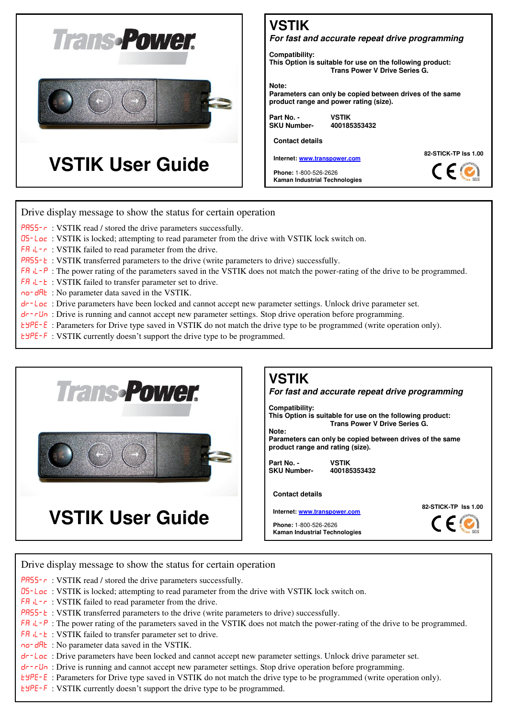

# **VSTIK**

### *For fast and accurate repeat drive programming*

**Compatibility:** 

**This Option is suitable for use on the following product: Trans Power V Drive Series G.** 

**Note:** 

**Parameters can only be copied between drives of the same product range and power rating (size).** 

**SKU Number- 400185353432**

Part No. - **VSTIK**<br>**SKU Number-** 40018

**Contact details** 

**Internet[: www.transpower.com](http://www.transpower.com/)**

**Phone:** 1-800-526-2626 **Kaman Industrial Technologies**





### Drive display message to show the status for certain operation

- $PH55-\tau$ : VSTIK read / stored the drive parameters successfully.
- 05-Loc: VSTIK is locked; attempting to read parameter from the drive with VSTIK lock switch on.
- $FA \Leftrightarrow$ : VSTIK failed to read parameter from the drive.
- PR55-E: VSTIK transferred parameters to the drive (write parameters to drive) successfully.
- $FA \Leftrightarrow$  The power rating of the parameters saved in the VSTIK does not match the power-rating of the drive to be programmed.
- $FA \Ldash b$ : VSTIK failed to transfer parameter set to drive.
- no-dRt: No parameter data saved in the VSTIK.
- dr-Loc: Drive parameters have been locked and cannot accept new parameter settings. Unlock drive parameter set.
- dr-rUn: Drive is running and cannot accept new parameter settings. Stop drive operation before programming.
- EYPE-E: Parameters for Drive type saved in VSTIK do not match the drive type to be programmed (write operation only).
- EHPE-F: VSTIK currently doesn't support the drive type to be programmed.



## **VSTIK**

### *For fast and accurate repeat drive programming*

**Compatibility:** 

**This Option is suitable for use on the following product: Trans Power V Drive Series G.** 

**Note: Parameters can only be copied between drives of the same product range and rating (size).** 

**Part No. - VSTIK SKU Number-**

#### **Contact details**

**Internet[: www.transpower.com](http://www.transpower.com/)**

**Phone:** 1-800-526-2626 **Kaman Industrial Technologies** **82-STICK-TP Iss 1.00**



Drive display message to show the status for certain operation

- PR55- $\tau$ : VSTIK read / stored the drive parameters successfully.
- 05-Loc: VSTIK is locked; attempting to read parameter from the drive with VSTIK lock switch on.
- $FA \Leftrightarrow$ : VSTIK failed to read parameter from the drive.
- PR55-L: VSTIK transferred parameters to the drive (write parameters to drive) successfully.
- FR  $iL P$ : The power rating of the parameters saved in the VSTIK does not match the power-rating of the drive to be programmed.
- $FA \Ldash E$ : VSTIK failed to transfer parameter set to drive.
- no-dRt: No parameter data saved in the VSTIK.
- dr-Loc: Drive parameters have been locked and cannot accept new parameter settings. Unlock drive parameter set.
- dr-rUn: Drive is running and cannot accept new parameter settings. Stop drive operation before programming.
- EYPE-E: Parameters for Drive type saved in VSTIK do not match the drive type to be programmed (write operation only).
- EHPE-F: VSTIK currently doesn't support the drive type to be programmed.